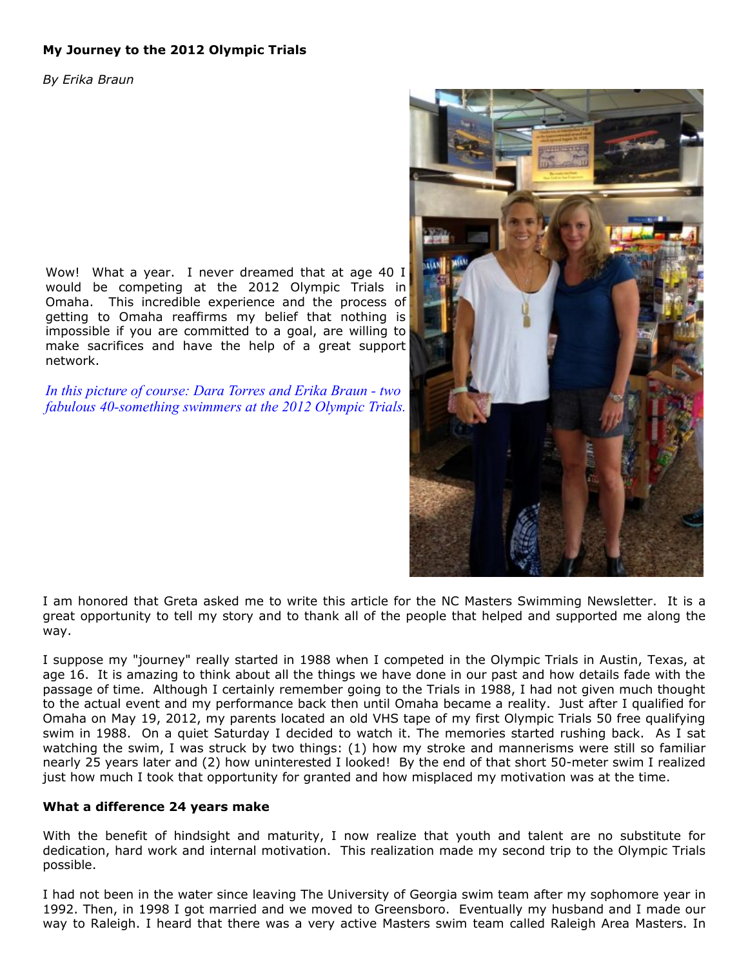# **My Journey to the 2012 Olympic Trials**

*By Erika Braun*

Wow! What a year. I never dreamed that at age 40 I would be competing at the 2012 Olympic Trials in Omaha. This incredible experience and the process of getting to Omaha reaffirms my belief that nothing is impossible if you are committed to a goal, are willing to make sacrifices and have the help of a great support network.

*In this picture of course: Dara Torres and Erika Braun - two fabulous 40-something swimmers at the 2012 Olympic Trials.*



I am honored that Greta asked me to write this article for the NC Masters Swimming Newsletter. It is a great opportunity to tell my story and to thank all of the people that helped and supported me along the way.

I suppose my "journey" really started in 1988 when I competed in the Olympic Trials in Austin, Texas, at age 16. It is amazing to think about all the things we have done in our past and how details fade with the passage of time. Although I certainly remember going to the Trials in 1988, I had not given much thought to the actual event and my performance back then until Omaha became a reality. Just after I qualified for Omaha on May 19, 2012, my parents located an old VHS tape of my first Olympic Trials 50 free qualifying swim in 1988. On a quiet Saturday I decided to watch it. The memories started rushing back. As I sat watching the swim, I was struck by two things: (1) how my stroke and mannerisms were still so familiar nearly 25 years later and (2) how uninterested I looked! By the end of that short 50-meter swim I realized just how much I took that opportunity for granted and how misplaced my motivation was at the time.

#### **What a difference 24 years make**

With the benefit of hindsight and maturity, I now realize that youth and talent are no substitute for dedication, hard work and internal motivation. This realization made my second trip to the Olympic Trials possible.

I had not been in the water since leaving The University of Georgia swim team after my sophomore year in 1992. Then, in 1998 I got married and we moved to Greensboro. Eventually my husband and I made our way to Raleigh. I heard that there was a very active Masters swim team called Raleigh Area Masters. In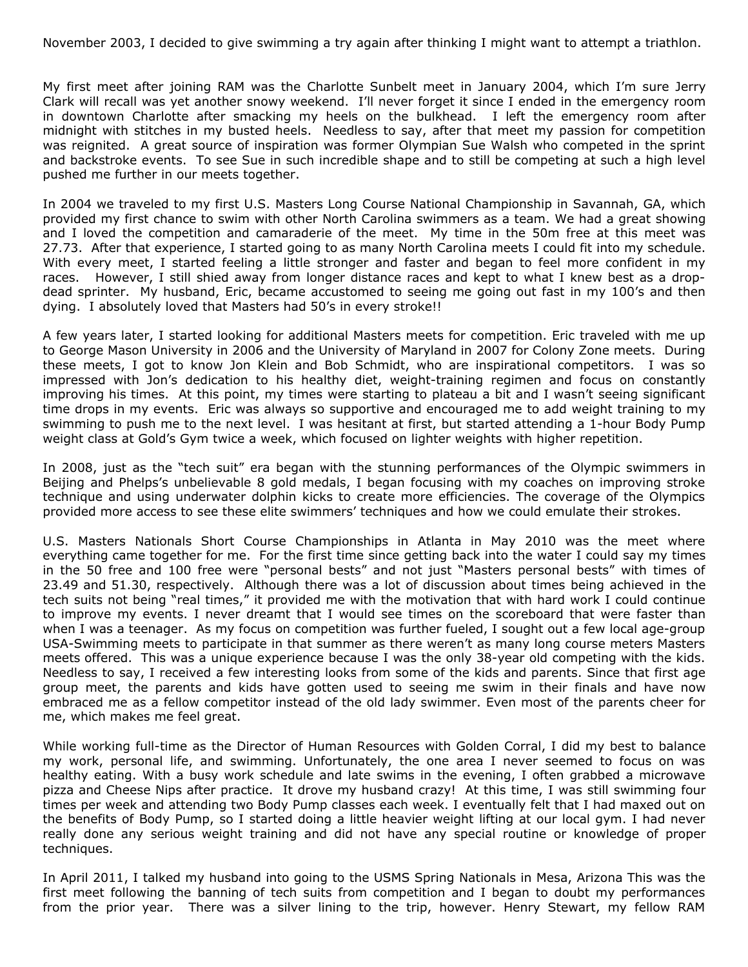November 2003, I decided to give swimming a try again after thinking I might want to attempt a triathlon.

My first meet after joining RAM was the Charlotte Sunbelt meet in January 2004, which I'm sure Jerry Clark will recall was yet another snowy weekend. I'll never forget it since I ended in the emergency room in downtown Charlotte after smacking my heels on the bulkhead. I left the emergency room after midnight with stitches in my busted heels. Needless to say, after that meet my passion for competition was reignited. A great source of inspiration was former Olympian Sue Walsh who competed in the sprint and backstroke events. To see Sue in such incredible shape and to still be competing at such a high level pushed me further in our meets together.

In 2004 we traveled to my first U.S. Masters Long Course National Championship in Savannah, GA, which provided my first chance to swim with other North Carolina swimmers as a team. We had a great showing and I loved the competition and camaraderie of the meet. My time in the 50m free at this meet was 27.73. After that experience, I started going to as many North Carolina meets I could fit into my schedule. With every meet, I started feeling a little stronger and faster and began to feel more confident in my races. However, I still shied away from longer distance races and kept to what I knew best as a dropdead sprinter. My husband, Eric, became accustomed to seeing me going out fast in my 100's and then dying. I absolutely loved that Masters had 50's in every stroke!!

A few years later, I started looking for additional Masters meets for competition. Eric traveled with me up to George Mason University in 2006 and the University of Maryland in 2007 for Colony Zone meets. During these meets, I got to know Jon Klein and Bob Schmidt, who are inspirational competitors. I was so impressed with Jon's dedication to his healthy diet, weight-training regimen and focus on constantly improving his times. At this point, my times were starting to plateau a bit and I wasn't seeing significant time drops in my events. Eric was always so supportive and encouraged me to add weight training to my swimming to push me to the next level. I was hesitant at first, but started attending a 1-hour Body Pump weight class at Gold's Gym twice a week, which focused on lighter weights with higher repetition.

In 2008, just as the "tech suit" era began with the stunning performances of the Olympic swimmers in Beijing and Phelps's unbelievable 8 gold medals, I began focusing with my coaches on improving stroke technique and using underwater dolphin kicks to create more efficiencies. The coverage of the Olympics provided more access to see these elite swimmers' techniques and how we could emulate their strokes.

U.S. Masters Nationals Short Course Championships in Atlanta in May 2010 was the meet where everything came together for me. For the first time since getting back into the water I could say my times in the 50 free and 100 free were "personal bests" and not just "Masters personal bests" with times of 23.49 and 51.30, respectively. Although there was a lot of discussion about times being achieved in the tech suits not being "real times," it provided me with the motivation that with hard work I could continue to improve my events. I never dreamt that I would see times on the scoreboard that were faster than when I was a teenager. As my focus on competition was further fueled, I sought out a few local age-group USA-Swimming meets to participate in that summer as there weren't as many long course meters Masters meets offered. This was a unique experience because I was the only 38-year old competing with the kids. Needless to say, I received a few interesting looks from some of the kids and parents. Since that first age group meet, the parents and kids have gotten used to seeing me swim in their finals and have now embraced me as a fellow competitor instead of the old lady swimmer. Even most of the parents cheer for me, which makes me feel great.

While working full-time as the Director of Human Resources with Golden Corral, I did my best to balance my work, personal life, and swimming. Unfortunately, the one area I never seemed to focus on was healthy eating. With a busy work schedule and late swims in the evening, I often grabbed a microwave pizza and Cheese Nips after practice. It drove my husband crazy! At this time, I was still swimming four times per week and attending two Body Pump classes each week. I eventually felt that I had maxed out on the benefits of Body Pump, so I started doing a little heavier weight lifting at our local gym. I had never really done any serious weight training and did not have any special routine or knowledge of proper techniques.

In April 2011, I talked my husband into going to the USMS Spring Nationals in Mesa, Arizona This was the first meet following the banning of tech suits from competition and I began to doubt my performances from the prior year. There was a silver lining to the trip, however. Henry Stewart, my fellow RAM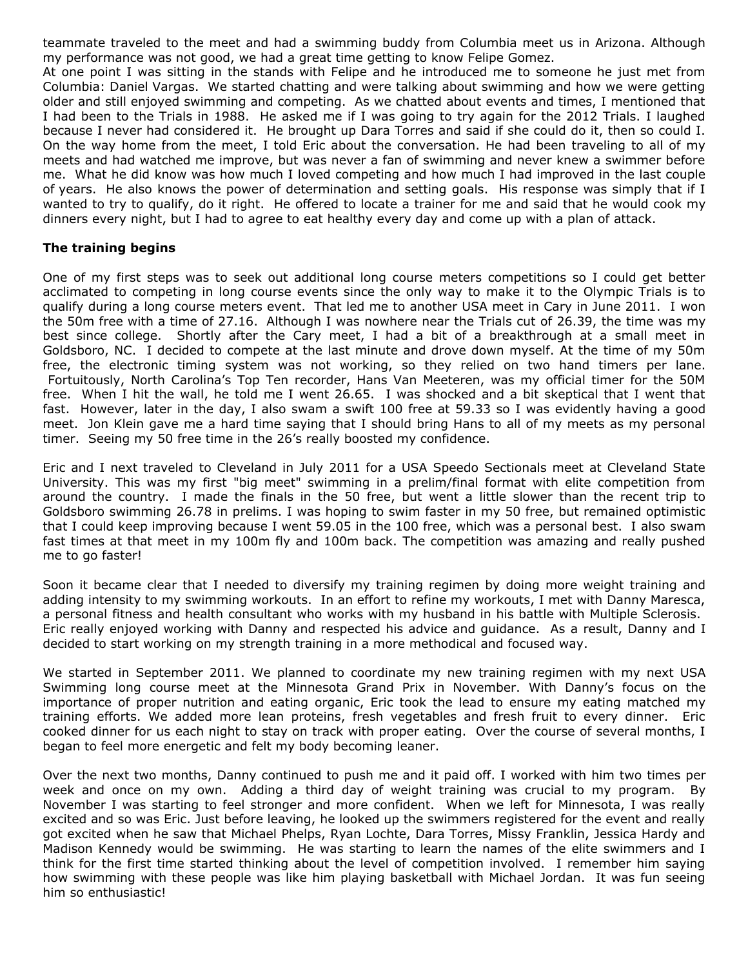teammate traveled to the meet and had a swimming buddy from Columbia meet us in Arizona. Although my performance was not good, we had a great time getting to know Felipe Gomez.

At one point I was sitting in the stands with Felipe and he introduced me to someone he just met from Columbia: Daniel Vargas. We started chatting and were talking about swimming and how we were getting older and still enjoyed swimming and competing. As we chatted about events and times, I mentioned that I had been to the Trials in 1988. He asked me if I was going to try again for the 2012 Trials. I laughed because I never had considered it. He brought up Dara Torres and said if she could do it, then so could I. On the way home from the meet, I told Eric about the conversation. He had been traveling to all of my meets and had watched me improve, but was never a fan of swimming and never knew a swimmer before me. What he did know was how much I loved competing and how much I had improved in the last couple of years. He also knows the power of determination and setting goals. His response was simply that if I wanted to try to qualify, do it right. He offered to locate a trainer for me and said that he would cook my dinners every night, but I had to agree to eat healthy every day and come up with a plan of attack.

#### **The training begins**

One of my first steps was to seek out additional long course meters competitions so I could get better acclimated to competing in long course events since the only way to make it to the Olympic Trials is to qualify during a long course meters event. That led me to another USA meet in Cary in June 2011. I won the 50m free with a time of 27.16. Although I was nowhere near the Trials cut of 26.39, the time was my best since college. Shortly after the Cary meet, I had a bit of a breakthrough at a small meet in Goldsboro, NC. I decided to compete at the last minute and drove down myself. At the time of my 50m free, the electronic timing system was not working, so they relied on two hand timers per lane. Fortuitously, North Carolina's Top Ten recorder, Hans Van Meeteren, was my official timer for the 50M free. When I hit the wall, he told me I went 26.65. I was shocked and a bit skeptical that I went that fast. However, later in the day, I also swam a swift 100 free at 59.33 so I was evidently having a good meet. Jon Klein gave me a hard time saying that I should bring Hans to all of my meets as my personal timer. Seeing my 50 free time in the 26's really boosted my confidence.

Eric and I next traveled to Cleveland in July 2011 for a USA Speedo Sectionals meet at Cleveland State University. This was my first "big meet" swimming in a prelim/final format with elite competition from around the country. I made the finals in the 50 free, but went a little slower than the recent trip to Goldsboro swimming 26.78 in prelims. I was hoping to swim faster in my 50 free, but remained optimistic that I could keep improving because I went 59.05 in the 100 free, which was a personal best. I also swam fast times at that meet in my 100m fly and 100m back. The competition was amazing and really pushed me to go faster!

Soon it became clear that I needed to diversify my training regimen by doing more weight training and adding intensity to my swimming workouts. In an effort to refine my workouts, I met with Danny Maresca, a personal fitness and health consultant who works with my husband in his battle with Multiple Sclerosis. Eric really enjoyed working with Danny and respected his advice and guidance. As a result, Danny and I decided to start working on my strength training in a more methodical and focused way.

We started in September 2011. We planned to coordinate my new training regimen with my next USA Swimming long course meet at the Minnesota Grand Prix in November. With Danny's focus on the importance of proper nutrition and eating organic, Eric took the lead to ensure my eating matched my training efforts. We added more lean proteins, fresh vegetables and fresh fruit to every dinner. Eric cooked dinner for us each night to stay on track with proper eating. Over the course of several months, I began to feel more energetic and felt my body becoming leaner.

Over the next two months, Danny continued to push me and it paid off. I worked with him two times per week and once on my own. Adding a third day of weight training was crucial to my program. By November I was starting to feel stronger and more confident. When we left for Minnesota, I was really excited and so was Eric. Just before leaving, he looked up the swimmers registered for the event and really got excited when he saw that Michael Phelps, Ryan Lochte, Dara Torres, Missy Franklin, Jessica Hardy and Madison Kennedy would be swimming. He was starting to learn the names of the elite swimmers and I think for the first time started thinking about the level of competition involved. I remember him saying how swimming with these people was like him playing basketball with Michael Jordan. It was fun seeing him so enthusiastic!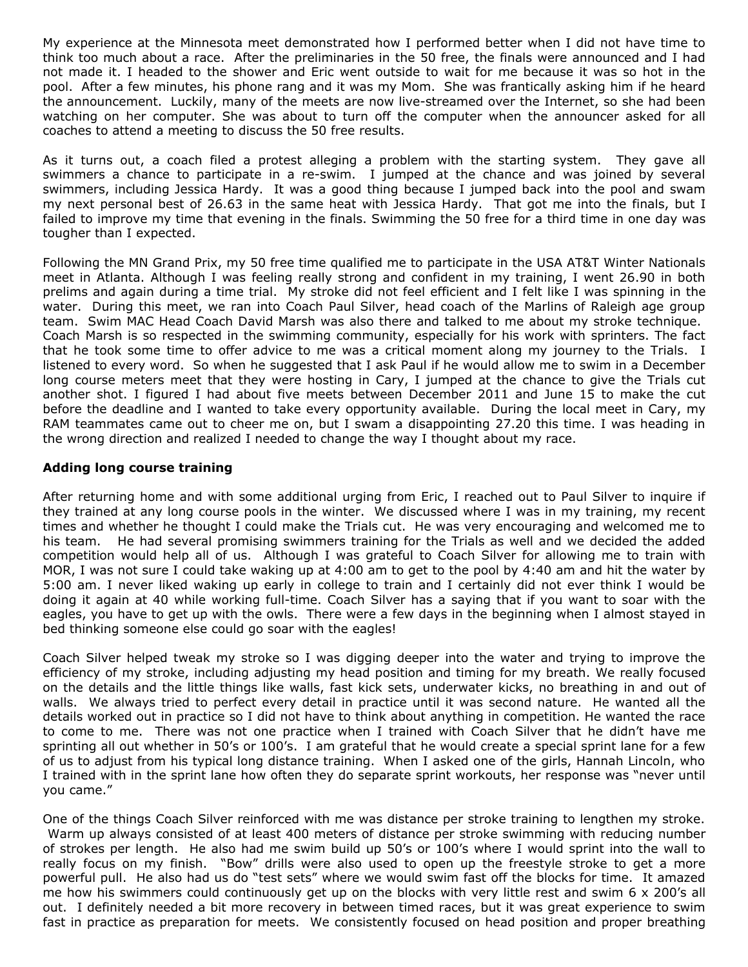My experience at the Minnesota meet demonstrated how I performed better when I did not have time to think too much about a race. After the preliminaries in the 50 free, the finals were announced and I had not made it. I headed to the shower and Eric went outside to wait for me because it was so hot in the pool. After a few minutes, his phone rang and it was my Mom. She was frantically asking him if he heard the announcement. Luckily, many of the meets are now live-streamed over the Internet, so she had been watching on her computer. She was about to turn off the computer when the announcer asked for all coaches to attend a meeting to discuss the 50 free results.

As it turns out, a coach filed a protest alleging a problem with the starting system. They gave all swimmers a chance to participate in a re-swim. I jumped at the chance and was joined by several swimmers, including Jessica Hardy. It was a good thing because I jumped back into the pool and swam my next personal best of 26.63 in the same heat with Jessica Hardy. That got me into the finals, but I failed to improve my time that evening in the finals. Swimming the 50 free for a third time in one day was tougher than I expected.

Following the MN Grand Prix, my 50 free time qualified me to participate in the USA AT&T Winter Nationals meet in Atlanta. Although I was feeling really strong and confident in my training, I went 26.90 in both prelims and again during a time trial. My stroke did not feel efficient and I felt like I was spinning in the water. During this meet, we ran into Coach Paul Silver, head coach of the Marlins of Raleigh age group team. Swim MAC Head Coach David Marsh was also there and talked to me about my stroke technique. Coach Marsh is so respected in the swimming community, especially for his work with sprinters. The fact that he took some time to offer advice to me was a critical moment along my journey to the Trials. I listened to every word. So when he suggested that I ask Paul if he would allow me to swim in a December long course meters meet that they were hosting in Cary, I jumped at the chance to give the Trials cut another shot. I figured I had about five meets between December 2011 and June 15 to make the cut before the deadline and I wanted to take every opportunity available. During the local meet in Cary, my RAM teammates came out to cheer me on, but I swam a disappointing 27.20 this time. I was heading in the wrong direction and realized I needed to change the way I thought about my race.

### **Adding long course training**

After returning home and with some additional urging from Eric, I reached out to Paul Silver to inquire if they trained at any long course pools in the winter. We discussed where I was in my training, my recent times and whether he thought I could make the Trials cut. He was very encouraging and welcomed me to his team. He had several promising swimmers training for the Trials as well and we decided the added competition would help all of us. Although I was grateful to Coach Silver for allowing me to train with MOR, I was not sure I could take waking up at 4:00 am to get to the pool by 4:40 am and hit the water by 5:00 am. I never liked waking up early in college to train and I certainly did not ever think I would be doing it again at 40 while working full-time. Coach Silver has a saying that if you want to soar with the eagles, you have to get up with the owls. There were a few days in the beginning when I almost stayed in bed thinking someone else could go soar with the eagles!

Coach Silver helped tweak my stroke so I was digging deeper into the water and trying to improve the efficiency of my stroke, including adjusting my head position and timing for my breath. We really focused on the details and the little things like walls, fast kick sets, underwater kicks, no breathing in and out of walls. We always tried to perfect every detail in practice until it was second nature. He wanted all the details worked out in practice so I did not have to think about anything in competition. He wanted the race to come to me. There was not one practice when I trained with Coach Silver that he didn't have me sprinting all out whether in 50's or 100's. I am grateful that he would create a special sprint lane for a few of us to adjust from his typical long distance training. When I asked one of the girls, Hannah Lincoln, who I trained with in the sprint lane how often they do separate sprint workouts, her response was "never until you came."

One of the things Coach Silver reinforced with me was distance per stroke training to lengthen my stroke. Warm up always consisted of at least 400 meters of distance per stroke swimming with reducing number of strokes per length. He also had me swim build up 50's or 100's where I would sprint into the wall to really focus on my finish. "Bow" drills were also used to open up the freestyle stroke to get a more powerful pull. He also had us do "test sets" where we would swim fast off the blocks for time. It amazed me how his swimmers could continuously get up on the blocks with very little rest and swim 6 x 200's all out. I definitely needed a bit more recovery in between timed races, but it was great experience to swim fast in practice as preparation for meets. We consistently focused on head position and proper breathing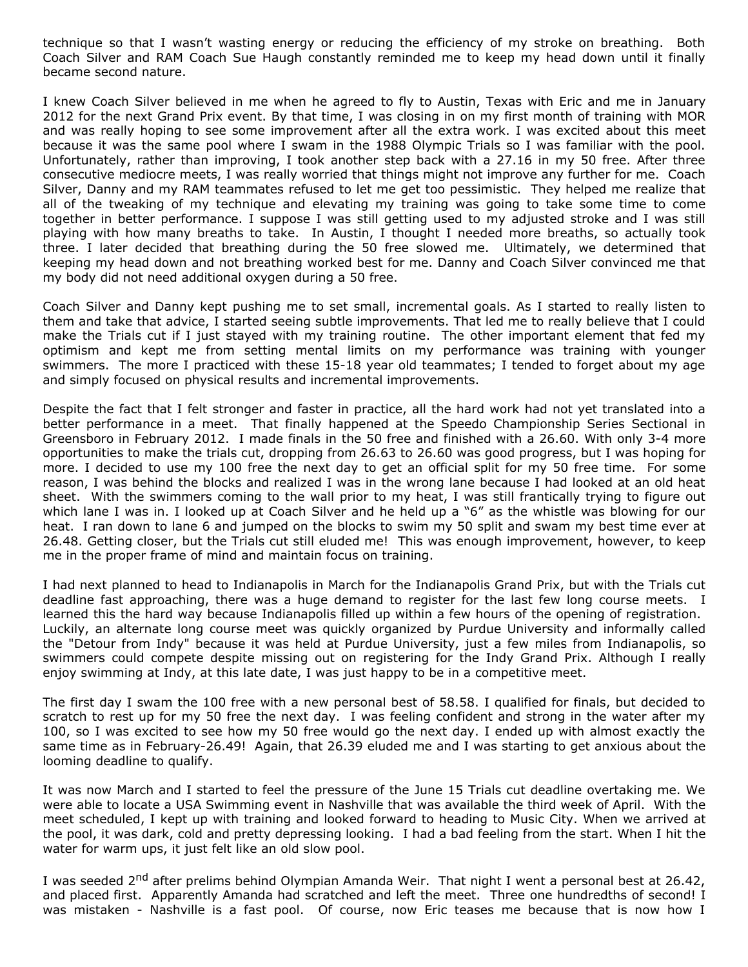technique so that I wasn't wasting energy or reducing the efficiency of my stroke on breathing. Both Coach Silver and RAM Coach Sue Haugh constantly reminded me to keep my head down until it finally became second nature.

I knew Coach Silver believed in me when he agreed to fly to Austin, Texas with Eric and me in January 2012 for the next Grand Prix event. By that time, I was closing in on my first month of training with MOR and was really hoping to see some improvement after all the extra work. I was excited about this meet because it was the same pool where I swam in the 1988 Olympic Trials so I was familiar with the pool. Unfortunately, rather than improving, I took another step back with a 27.16 in my 50 free. After three consecutive mediocre meets, I was really worried that things might not improve any further for me. Coach Silver, Danny and my RAM teammates refused to let me get too pessimistic. They helped me realize that all of the tweaking of my technique and elevating my training was going to take some time to come together in better performance. I suppose I was still getting used to my adjusted stroke and I was still playing with how many breaths to take. In Austin, I thought I needed more breaths, so actually took three. I later decided that breathing during the 50 free slowed me. Ultimately, we determined that keeping my head down and not breathing worked best for me. Danny and Coach Silver convinced me that my body did not need additional oxygen during a 50 free.

Coach Silver and Danny kept pushing me to set small, incremental goals. As I started to really listen to them and take that advice, I started seeing subtle improvements. That led me to really believe that I could make the Trials cut if I just stayed with my training routine. The other important element that fed my optimism and kept me from setting mental limits on my performance was training with younger swimmers. The more I practiced with these 15-18 year old teammates; I tended to forget about my age and simply focused on physical results and incremental improvements.

Despite the fact that I felt stronger and faster in practice, all the hard work had not yet translated into a better performance in a meet. That finally happened at the Speedo Championship Series Sectional in Greensboro in February 2012. I made finals in the 50 free and finished with a 26.60. With only 3-4 more opportunities to make the trials cut, dropping from 26.63 to 26.60 was good progress, but I was hoping for more. I decided to use my 100 free the next day to get an official split for my 50 free time. For some reason, I was behind the blocks and realized I was in the wrong lane because I had looked at an old heat sheet. With the swimmers coming to the wall prior to my heat, I was still frantically trying to figure out which lane I was in. I looked up at Coach Silver and he held up a "6" as the whistle was blowing for our heat. I ran down to lane 6 and jumped on the blocks to swim my 50 split and swam my best time ever at 26.48. Getting closer, but the Trials cut still eluded me! This was enough improvement, however, to keep me in the proper frame of mind and maintain focus on training.

I had next planned to head to Indianapolis in March for the Indianapolis Grand Prix, but with the Trials cut deadline fast approaching, there was a huge demand to register for the last few long course meets. I learned this the hard way because Indianapolis filled up within a few hours of the opening of registration. Luckily, an alternate long course meet was quickly organized by Purdue University and informally called the "Detour from Indy" because it was held at Purdue University, just a few miles from Indianapolis, so swimmers could compete despite missing out on registering for the Indy Grand Prix. Although I really enjoy swimming at Indy, at this late date, I was just happy to be in a competitive meet.

The first day I swam the 100 free with a new personal best of 58.58. I qualified for finals, but decided to scratch to rest up for my 50 free the next day. I was feeling confident and strong in the water after my 100, so I was excited to see how my 50 free would go the next day. I ended up with almost exactly the same time as in February-26.49! Again, that 26.39 eluded me and I was starting to get anxious about the looming deadline to qualify.

It was now March and I started to feel the pressure of the June 15 Trials cut deadline overtaking me. We were able to locate a USA Swimming event in Nashville that was available the third week of April. With the meet scheduled, I kept up with training and looked forward to heading to Music City. When we arrived at the pool, it was dark, cold and pretty depressing looking. I had a bad feeling from the start. When I hit the water for warm ups, it just felt like an old slow pool.

I was seeded 2<sup>nd</sup> after prelims behind Olympian Amanda Weir. That night I went a personal best at 26.42, and placed first. Apparently Amanda had scratched and left the meet. Three one hundredths of second! I was mistaken - Nashville is a fast pool. Of course, now Eric teases me because that is now how I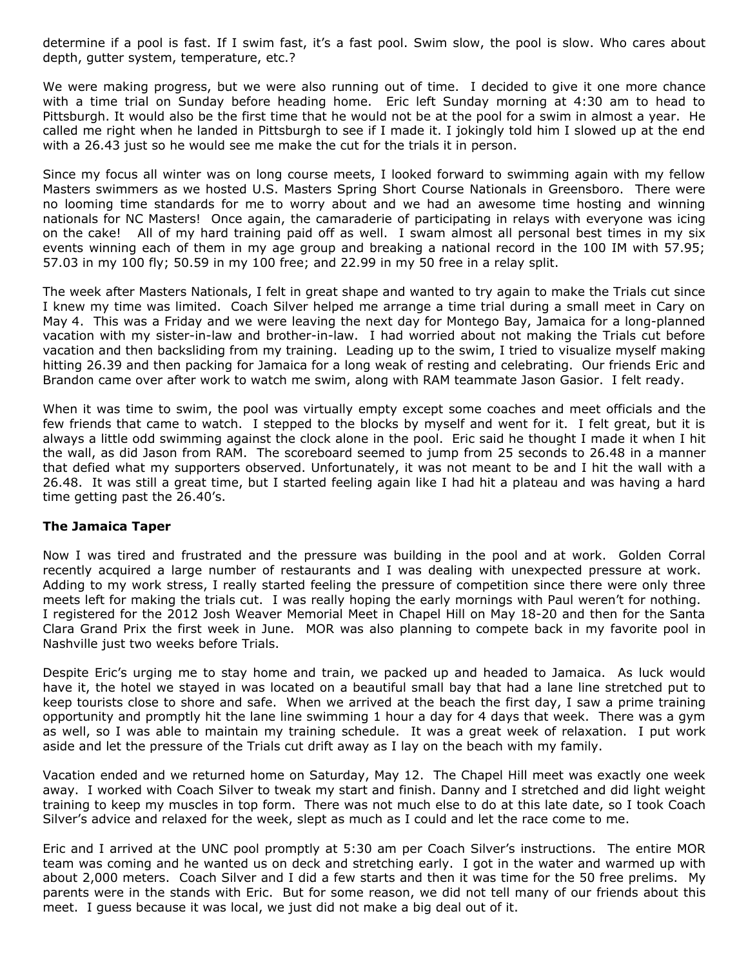determine if a pool is fast. If I swim fast, it's a fast pool. Swim slow, the pool is slow. Who cares about depth, gutter system, temperature, etc.?

We were making progress, but we were also running out of time. I decided to give it one more chance with a time trial on Sunday before heading home. Eric left Sunday morning at 4:30 am to head to Pittsburgh. It would also be the first time that he would not be at the pool for a swim in almost a year. He called me right when he landed in Pittsburgh to see if I made it. I jokingly told him I slowed up at the end with a 26.43 just so he would see me make the cut for the trials it in person.

Since my focus all winter was on long course meets, I looked forward to swimming again with my fellow Masters swimmers as we hosted U.S. Masters Spring Short Course Nationals in Greensboro. There were no looming time standards for me to worry about and we had an awesome time hosting and winning nationals for NC Masters! Once again, the camaraderie of participating in relays with everyone was icing on the cake! All of my hard training paid off as well. I swam almost all personal best times in my six events winning each of them in my age group and breaking a national record in the 100 IM with 57.95; 57.03 in my 100 fly; 50.59 in my 100 free; and 22.99 in my 50 free in a relay split.

The week after Masters Nationals, I felt in great shape and wanted to try again to make the Trials cut since I knew my time was limited. Coach Silver helped me arrange a time trial during a small meet in Cary on May 4. This was a Friday and we were leaving the next day for Montego Bay, Jamaica for a long-planned vacation with my sister-in-law and brother-in-law. I had worried about not making the Trials cut before vacation and then backsliding from my training. Leading up to the swim, I tried to visualize myself making hitting 26.39 and then packing for Jamaica for a long weak of resting and celebrating. Our friends Eric and Brandon came over after work to watch me swim, along with RAM teammate Jason Gasior. I felt ready.

When it was time to swim, the pool was virtually empty except some coaches and meet officials and the few friends that came to watch. I stepped to the blocks by myself and went for it. I felt great, but it is always a little odd swimming against the clock alone in the pool. Eric said he thought I made it when I hit the wall, as did Jason from RAM. The scoreboard seemed to jump from 25 seconds to 26.48 in a manner that defied what my supporters observed. Unfortunately, it was not meant to be and I hit the wall with a 26.48. It was still a great time, but I started feeling again like I had hit a plateau and was having a hard time getting past the 26.40's.

### **The Jamaica Taper**

Now I was tired and frustrated and the pressure was building in the pool and at work. Golden Corral recently acquired a large number of restaurants and I was dealing with unexpected pressure at work. Adding to my work stress, I really started feeling the pressure of competition since there were only three meets left for making the trials cut. I was really hoping the early mornings with Paul weren't for nothing. I registered for the 2012 Josh Weaver Memorial Meet in Chapel Hill on May 18-20 and then for the Santa Clara Grand Prix the first week in June. MOR was also planning to compete back in my favorite pool in Nashville just two weeks before Trials.

Despite Eric's urging me to stay home and train, we packed up and headed to Jamaica. As luck would have it, the hotel we stayed in was located on a beautiful small bay that had a lane line stretched put to keep tourists close to shore and safe. When we arrived at the beach the first day, I saw a prime training opportunity and promptly hit the lane line swimming 1 hour a day for 4 days that week. There was a gym as well, so I was able to maintain my training schedule. It was a great week of relaxation. I put work aside and let the pressure of the Trials cut drift away as I lay on the beach with my family.

Vacation ended and we returned home on Saturday, May 12. The Chapel Hill meet was exactly one week away. I worked with Coach Silver to tweak my start and finish. Danny and I stretched and did light weight training to keep my muscles in top form. There was not much else to do at this late date, so I took Coach Silver's advice and relaxed for the week, slept as much as I could and let the race come to me.

Eric and I arrived at the UNC pool promptly at 5:30 am per Coach Silver's instructions. The entire MOR team was coming and he wanted us on deck and stretching early. I got in the water and warmed up with about 2,000 meters. Coach Silver and I did a few starts and then it was time for the 50 free prelims. My parents were in the stands with Eric. But for some reason, we did not tell many of our friends about this meet. I guess because it was local, we just did not make a big deal out of it.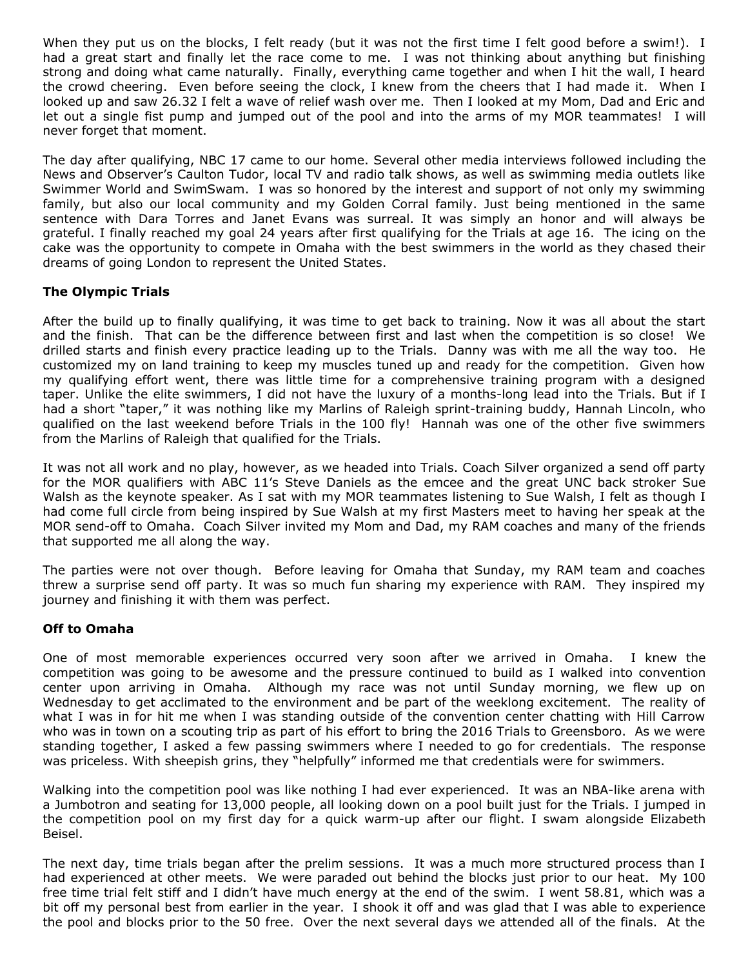When they put us on the blocks, I felt ready (but it was not the first time I felt good before a swim!). I had a great start and finally let the race come to me. I was not thinking about anything but finishing strong and doing what came naturally. Finally, everything came together and when I hit the wall, I heard the crowd cheering. Even before seeing the clock, I knew from the cheers that I had made it. When I looked up and saw 26.32 I felt a wave of relief wash over me. Then I looked at my Mom, Dad and Eric and let out a single fist pump and jumped out of the pool and into the arms of my MOR teammates! I will never forget that moment.

The day after qualifying, NBC 17 came to our home. Several other media interviews followed including the News and Observer's Caulton Tudor, local TV and radio talk shows, as well as swimming media outlets like Swimmer World and SwimSwam. I was so honored by the interest and support of not only my swimming family, but also our local community and my Golden Corral family. Just being mentioned in the same sentence with Dara Torres and Janet Evans was surreal. It was simply an honor and will always be grateful. I finally reached my goal 24 years after first qualifying for the Trials at age 16. The icing on the cake was the opportunity to compete in Omaha with the best swimmers in the world as they chased their dreams of going London to represent the United States.

# **The Olympic Trials**

After the build up to finally qualifying, it was time to get back to training. Now it was all about the start and the finish. That can be the difference between first and last when the competition is so close! We drilled starts and finish every practice leading up to the Trials. Danny was with me all the way too. He customized my on land training to keep my muscles tuned up and ready for the competition. Given how my qualifying effort went, there was little time for a comprehensive training program with a designed taper. Unlike the elite swimmers, I did not have the luxury of a months-long lead into the Trials. But if I had a short "taper," it was nothing like my Marlins of Raleigh sprint-training buddy, Hannah Lincoln, who qualified on the last weekend before Trials in the 100 fly! Hannah was one of the other five swimmers from the Marlins of Raleigh that qualified for the Trials.

It was not all work and no play, however, as we headed into Trials. Coach Silver organized a send off party for the MOR qualifiers with ABC 11's Steve Daniels as the emcee and the great UNC back stroker Sue Walsh as the keynote speaker. As I sat with my MOR teammates listening to Sue Walsh, I felt as though I had come full circle from being inspired by Sue Walsh at my first Masters meet to having her speak at the MOR send-off to Omaha. Coach Silver invited my Mom and Dad, my RAM coaches and many of the friends that supported me all along the way.

The parties were not over though. Before leaving for Omaha that Sunday, my RAM team and coaches threw a surprise send off party. It was so much fun sharing my experience with RAM. They inspired my journey and finishing it with them was perfect.

### **Off to Omaha**

One of most memorable experiences occurred very soon after we arrived in Omaha. I knew the competition was going to be awesome and the pressure continued to build as I walked into convention center upon arriving in Omaha. Although my race was not until Sunday morning, we flew up on Wednesday to get acclimated to the environment and be part of the weeklong excitement. The reality of what I was in for hit me when I was standing outside of the convention center chatting with Hill Carrow who was in town on a scouting trip as part of his effort to bring the 2016 Trials to Greensboro. As we were standing together, I asked a few passing swimmers where I needed to go for credentials. The response was priceless. With sheepish grins, they "helpfully" informed me that credentials were for swimmers.

Walking into the competition pool was like nothing I had ever experienced. It was an NBA-like arena with a Jumbotron and seating for 13,000 people, all looking down on a pool built just for the Trials. I jumped in the competition pool on my first day for a quick warm-up after our flight. I swam alongside Elizabeth Beisel.

The next day, time trials began after the prelim sessions. It was a much more structured process than I had experienced at other meets. We were paraded out behind the blocks just prior to our heat. My 100 free time trial felt stiff and I didn't have much energy at the end of the swim. I went 58.81, which was a bit off my personal best from earlier in the year. I shook it off and was glad that I was able to experience the pool and blocks prior to the 50 free. Over the next several days we attended all of the finals. At the